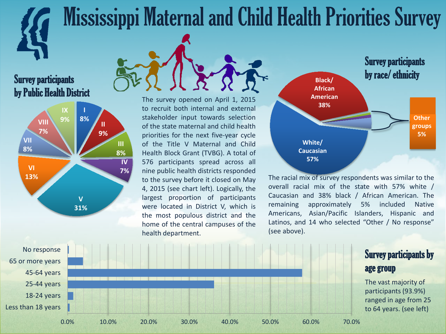# Mississippi Maternal and Child Health Priorities Survey

### Survey participants by Public Health District



The survey opened on April 1, 2015 to recruit both internal and external stakeholder input towards selection of the state maternal and child health priorities for the next five-year cycle of the Title V Maternal and Child Health Block Grant (TVBG). A total of 576 participants spread across all nine public health districts responded to the survey before it closed on May 4, 2015 (see chart left). Logically, the largest proportion of participants were located in District V, which is the most populous district and the home of the central campuses of the health department.



The racial mix of survey respondents was similar to the overall racial mix of the state with 57% white / Caucasian and 38% black / African American. The remaining approximately 5% included Native Americans, Asian/Pacific Islanders, Hispanic and Latinos, and 14 who selected "Other / No response" (see above).

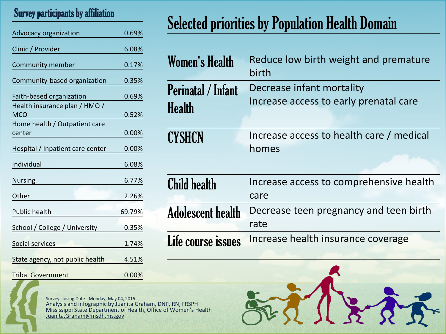#### Survey participants by affiliation

| Advocacy organization                       | 0.69%  |
|---------------------------------------------|--------|
| Clinic / Provider                           | 6.08%  |
| Community member                            | 0.17%  |
| Community-based organization                | 0.35%  |
| Faith-based organization                    | 0.69%  |
| Health insurance plan / HMO /<br><b>MCO</b> | 0.52%  |
| Home health / Outpatient care<br>center     | 0.00%  |
| Hospital / Inpatient care center            | 0.00%  |
| Individual                                  | 6.08%  |
| <b>Nursing</b>                              | 6.77%  |
| Other                                       | 2.26%  |
| Public health                               | 69.79% |
| School / College / University               | 0.35%  |
| Social services                             | 1.74%  |
| State agency, not public health             | 4.51%  |
| <b>Tribal Government</b>                    | 0.00%  |

## Selected priorities by Population Health Domain

| <b>Women's Health</b>                      | Reduce low birth weight and premature<br>birth                      |
|--------------------------------------------|---------------------------------------------------------------------|
| <b>Perinatal / Infant</b><br><b>Health</b> | Decrease infant mortality<br>Increase access to early prenatal care |
| <b>CYSHCN</b>                              | Increase access to health care / medical<br>homes                   |
| <b>Child health</b>                        | Increase access to comprehensive health<br>care                     |
| <b>Adolescent health</b>                   | Decrease teen pregnancy and teen birth<br>rate                      |
| Life course issues                         | Increase health insurance coverage                                  |

Survey closing Date - Monday, May 04, 2015 Analysis and infographic by Juanita Graham, DNP, RN, FRSPH Mississippi State Department of Health, Office of Women's Health Juanita.Graham@msdh.ms.gov